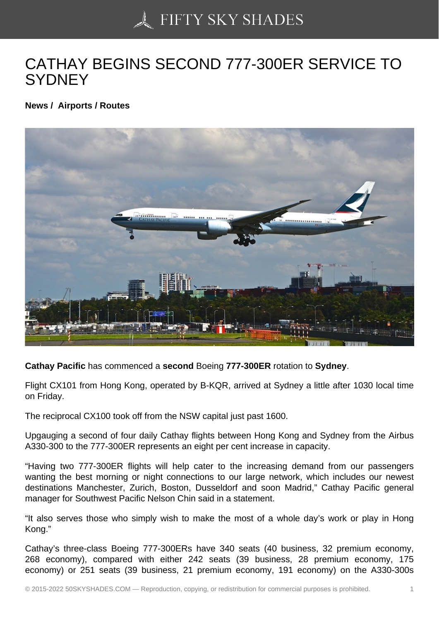## [CATHAY BEGINS SEC](https://50skyshades.com)OND 777-300ER SERVICE TO **SYDNEY**

News / Airports / Routes

Cathay Pacific has commenced a second Boeing 777-300ER rotation to Sydney .

Flight CX101 from Hong Kong, operated by B-KQR, arrived at Sydney a little after 1030 local time on Friday.

The reciprocal CX100 took off from the NSW capital just past 1600.

Upgauging a second of four daily Cathay flights between Hong Kong and Sydney from the Airbus A330-300 to the 777-300ER represents an eight per cent increase in capacity.

"Having two 777-300ER flights will help cater to the increasing demand from our passengers wanting the best morning or night connections to our large network, which includes our newest destinations Manchester, Zurich, Boston, Dusseldorf and soon Madrid," Cathay Pacific general manager for Southwest Pacific Nelson Chin said in a statement.

"It also serves those who simply wish to make the most of a whole day's work or play in Hong Kong."

Cathay's three-class Boeing 777-300ERs have 340 seats (40 business, 32 premium economy, 268 economy), compared with either 242 seats (39 business, 28 premium economy, 175 economy) or 251 seats (39 business, 21 premium economy, 191 economy) on the A330-300s